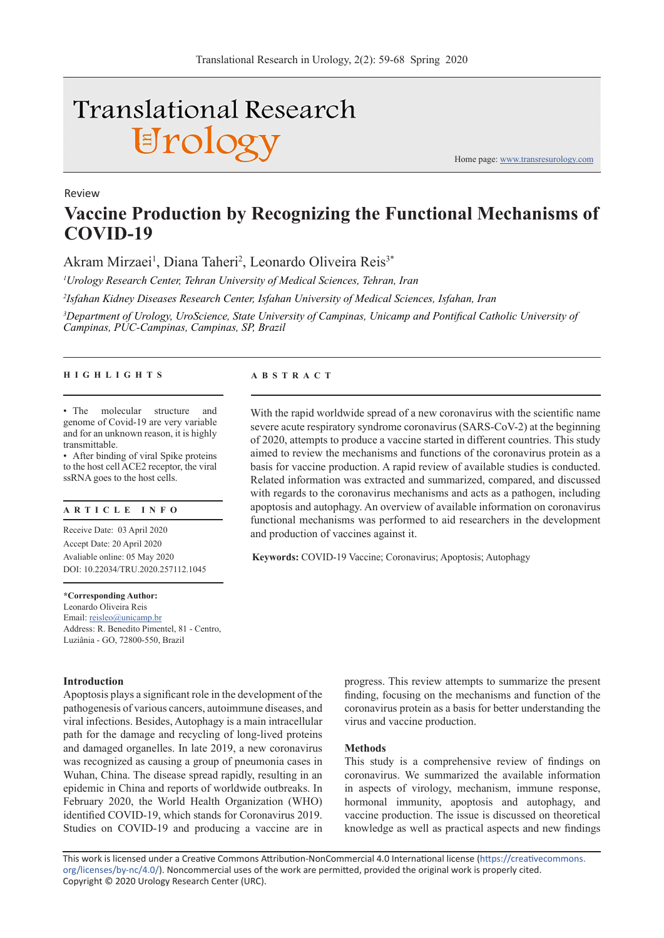# **Translational Research** Urology

Review

**Vaccine Production by Recognizing the Functional Mechanisms of COVID-19** 

Akram Mirzaei<sup>1</sup>, Diana Taheri<sup>2</sup>, Leonardo Oliveira Reis<sup>3\*</sup>

*1 Urology Research Center, Tehran University of Medical Sciences, Tehran, Iran*

*2 Isfahan Kidney Diseases Research Center, Isfahan University of Medical Sciences, Isfahan, Iran*

*3 Department of Urology, UroScience, State University of Campinas, Unicamp and Pontifical Catholic University of Campinas, PUC-Campinas, Campinas, SP, Brazil*

## **HIGHLIGHTS ABSTRACT**

• The molecular structure and genome of Covid-19 are very variable and for an unknown reason, it is highly transmittable.

• After binding of viral Spike proteins to the host cell ACE2 receptor, the viral ssRNA goes to the host cells.

# **ARTICLE INFO**

Receive Date: 03 April 2020 Accept Date: 20 April 2020 Avaliable online: 05 May 2020 DOI: 10.22034/TRU.2020.257112.1045

**\*Corresponding Author:** Leonardo Oliveira Reis Email: reisleo@unicamp.br Address: R. Benedito Pimentel, 81 - Centro, Luziânia - GO, 72800-550, Brazil

#### **Introduction**

Apoptosis plays a significant role in the development of the pathogenesis of various cancers, autoimmune diseases, and viral infections. Besides, Autophagy is a main intracellular path for the damage and recycling of long-lived proteins and damaged organelles. In late 2019, a new coronavirus was recognized as causing a group of pneumonia cases in Wuhan, China. The disease spread rapidly, resulting in an epidemic in China and reports of worldwide outbreaks. In February 2020, the World Health Organization (WHO) identified COVID-19, which stands for Coronavirus 2019. Studies on COVID-19 and producing a vaccine are in

With the rapid worldwide spread of a new coronavirus with the scientific name severe acute respiratory syndrome coronavirus (SARS-CoV-2) at the beginning of 2020, attempts to produce a vaccine started in different countries. This study aimed to review the mechanisms and functions of the coronavirus protein as a basis for vaccine production. A rapid review of available studies is conducted. Related information was extracted and summarized, compared, and discussed with regards to the coronavirus mechanisms and acts as a pathogen, including apoptosis and autophagy. An overview of available information on coronavirus functional mechanisms was performed to aid researchers in the development and production of vaccines against it.

**Keywords:** COVID-19 Vaccine; Coronavirus; Apoptosis; Autophagy

progress. This review attempts to summarize the present finding, focusing on the mechanisms and function of the coronavirus protein as a basis for better understanding the virus and vaccine production.

Home page: www.transresurology.com

#### **Methods**

This study is a comprehensive review of findings on coronavirus. We summarized the available information in aspects of virology, mechanism, immune response, hormonal immunity, apoptosis and autophagy, and vaccine production. The issue is discussed on theoretical knowledge as well as practical aspects and new findings

This work is licensed under a Creative Commons Attribution-NonCommercial 4.0 International license (https://creativecommons. org/licenses/by-nc/4.0/). Noncommercial uses of the work are permitted, provided the original work is properly cited. Copyright © 2020 Urology Research Center (URC).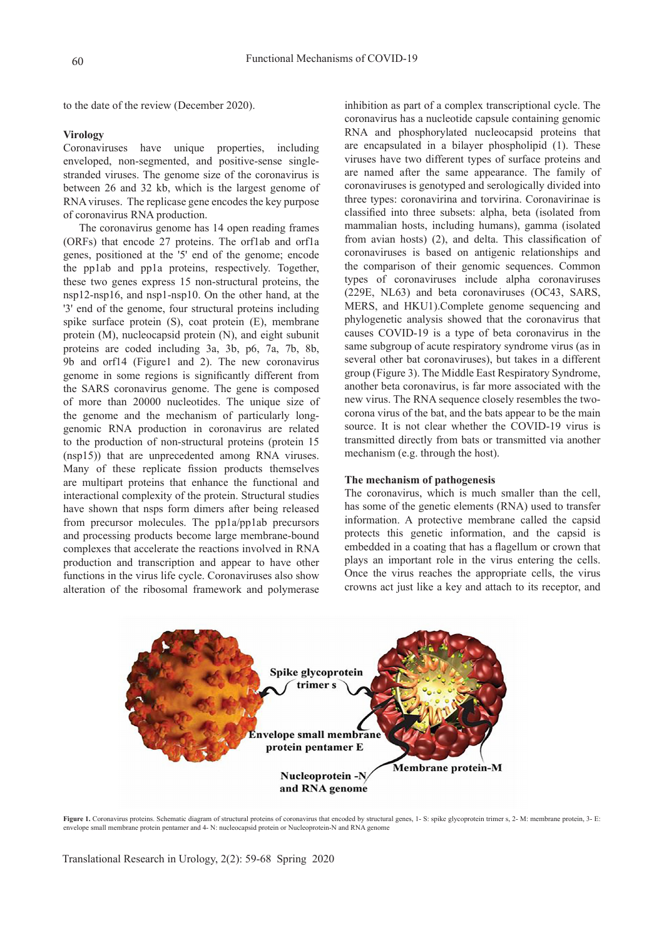to the date of the review (December 2020).

# **Virology**

Coronaviruses have unique properties, including enveloped, non-segmented, and positive-sense singlestranded viruses. The genome size of the coronavirus is between 26 and 32 kb, which is the largest genome of RNA viruses. The replicase gene encodes the key purpose of coronavirus RNA production.

The coronavirus genome has 14 open reading frames (ORFs) that encode 27 proteins. The orf1ab and orf1a genes, positioned at the '5' end of the genome; encode the pp1ab and pp1a proteins, respectively. Together, these two genes express 15 non-structural proteins, the nsp12-nsp16, and nsp1-nsp10. On the other hand, at the '3' end of the genome, four structural proteins including spike surface protein (S), coat protein (E), membrane protein (M), nucleocapsid protein (N), and eight subunit proteins are coded including 3a, 3b, p6, 7a, 7b, 8b, 9b and orf14 (Figure1 and 2). The new coronavirus genome in some regions is significantly different from the SARS coronavirus genome. The gene is composed of more than 20000 nucleotides. The unique size of the genome and the mechanism of particularly longgenomic RNA production in coronavirus are related to the production of non-structural proteins (protein 15 (nsp15)) that are unprecedented among RNA viruses. Many of these replicate fission products themselves are multipart proteins that enhance the functional and interactional complexity of the protein. Structural studies have shown that nsps form dimers after being released from precursor molecules. The pp1a/pp1ab precursors and processing products become large membrane-bound complexes that accelerate the reactions involved in RNA production and transcription and appear to have other functions in the virus life cycle. Coronaviruses also show alteration of the ribosomal framework and polymerase

inhibition as part of a complex transcriptional cycle. The coronavirus has a nucleotide capsule containing genomic RNA and phosphorylated nucleocapsid proteins that are encapsulated in a bilayer phospholipid (1). These viruses have two different types of surface proteins and are named after the same appearance. The family of coronaviruses is genotyped and serologically divided into three types: coronavirina and torvirina. Coronavirinae is classified into three subsets: alpha, beta (isolated from mammalian hosts, including humans), gamma (isolated from avian hosts) (2), and delta. This classification of coronaviruses is based on antigenic relationships and the comparison of their genomic sequences. Common types of coronaviruses include alpha coronaviruses (229E, NL63) and beta coronaviruses (OC43, SARS, MERS, and HKU1).Complete genome sequencing and phylogenetic analysis showed that the coronavirus that causes COVID-19 is a type of beta coronavirus in the same subgroup of acute respiratory syndrome virus (as in several other bat coronaviruses), but takes in a different group (Figure 3). The Middle East Respiratory Syndrome, another beta coronavirus, is far more associated with the new virus. The RNA sequence closely resembles the twocorona virus of the bat, and the bats appear to be the main source. It is not clear whether the COVID-19 virus is transmitted directly from bats or transmitted via another mechanism (e.g. through the host).

## **The mechanism of pathogenesis**

The coronavirus, which is much smaller than the cell, has some of the genetic elements (RNA) used to transfer information. A protective membrane called the capsid protects this genetic information, and the capsid is embedded in a coating that has a flagellum or crown that plays an important role in the virus entering the cells. Once the virus reaches the appropriate cells, the virus crowns act just like a key and attach to its receptor, and



Figure 1. Coronavirus proteins. Schematic diagram of structural proteins of coronavirus that encoded by structural genes, 1- S: spike glycoprotein trimer s, 2- M: membrane protein, 3- E: envelope small membrane protein pentamer and 4- N: nucleocapsid protein or Nucleoprotein-N and RNA genome

Translational Research in Urology, 2(2): 59-68 Spring 2020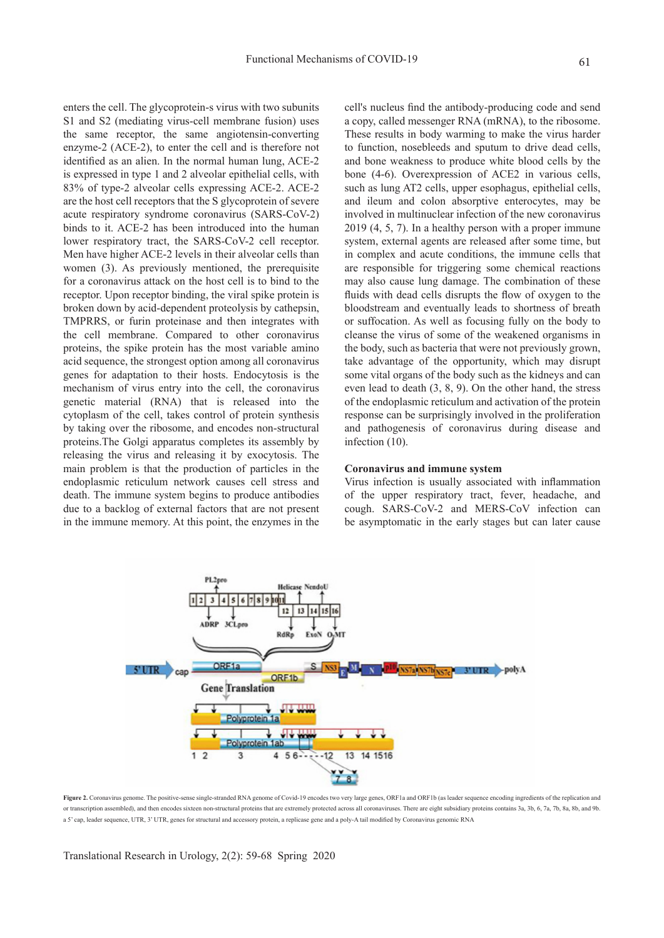enters the cell. The glycoprotein-s virus with two subunits S1 and S2 (mediating virus-cell membrane fusion) uses the same receptor, the same angiotensin-converting enzyme-2 (ACE-2), to enter the cell and is therefore not identified as an alien. In the normal human lung, ACE-2 is expressed in type 1 and 2 alveolar epithelial cells, with 83% of type-2 alveolar cells expressing ACE-2. ACE-2 are the host cell receptors that the S glycoprotein of severe acute respiratory syndrome coronavirus (SARS-CoV-2) binds to it. ACE-2 has been introduced into the human lower respiratory tract, the SARS-CoV-2 cell receptor. Men have higher ACE-2 levels in their alveolar cells than women (3). As previously mentioned, the prerequisite for a coronavirus attack on the host cell is to bind to the receptor. Upon receptor binding, the viral spike protein is broken down by acid-dependent proteolysis by cathepsin, TMPRRS, or furin proteinase and then integrates with the cell membrane. Compared to other coronavirus proteins, the spike protein has the most variable amino acid sequence, the strongest option among all coronavirus genes for adaptation to their hosts. Endocytosis is the mechanism of virus entry into the cell, the coronavirus genetic material (RNA) that is released into the cytoplasm of the cell, takes control of protein synthesis by taking over the ribosome, and encodes non-structural proteins.The Golgi apparatus completes its assembly by releasing the virus and releasing it by exocytosis. The main problem is that the production of particles in the endoplasmic reticulum network causes cell stress and death. The immune system begins to produce antibodies due to a backlog of external factors that are not present in the immune memory. At this point, the enzymes in the

cell's nucleus find the antibody-producing code and send a copy, called messenger RNA (mRNA), to the ribosome. These results in body warming to make the virus harder to function, nosebleeds and sputum to drive dead cells, and bone weakness to produce white blood cells by the bone (4-6). Overexpression of ACE2 in various cells, such as lung AT2 cells, upper esophagus, epithelial cells, and ileum and colon absorptive enterocytes, may be involved in multinuclear infection of the new coronavirus 2019 (4, 5, 7). In a healthy person with a proper immune system, external agents are released after some time, but in complex and acute conditions, the immune cells that are responsible for triggering some chemical reactions may also cause lung damage. The combination of these fluids with dead cells disrupts the flow of oxygen to the bloodstream and eventually leads to shortness of breath or suffocation. As well as focusing fully on the body to cleanse the virus of some of the weakened organisms in the body, such as bacteria that were not previously grown, take advantage of the opportunity, which may disrupt some vital organs of the body such as the kidneys and can even lead to death (3, 8, 9). On the other hand, the stress of the endoplasmic reticulum and activation of the protein response can be surprisingly involved in the proliferation and pathogenesis of coronavirus during disease and infection (10).

#### **Coronavirus and immune system**

Virus infection is usually associated with inflammation of the upper respiratory tract, fever, headache, and cough. SARS-CoV-2 and MERS-CoV infection can be asymptomatic in the early stages but can later cause



Figure 2. Coronavirus genome. The positive-sense single-stranded RNA genome of Covid-19 encodes two very large genes, ORF1a and ORF1b (as leader sequence encoding ingredients of the replication and or transcription assembled), and then encodes sixteen non-structural proteins that are extremely protected across all coronaviruses. There are eight subsidiary proteins contains 3a, 3b, 6, 7a, 7b, 8a, 8b, and 9b. a 5' cap, leader sequence, UTR, 3' UTR, genes for structural and accessory protein, a replicase gene and a poly-A tail modified by Coronavirus genomic RNA

Translational Research in Urology, 2(2): 59-68 Spring 2020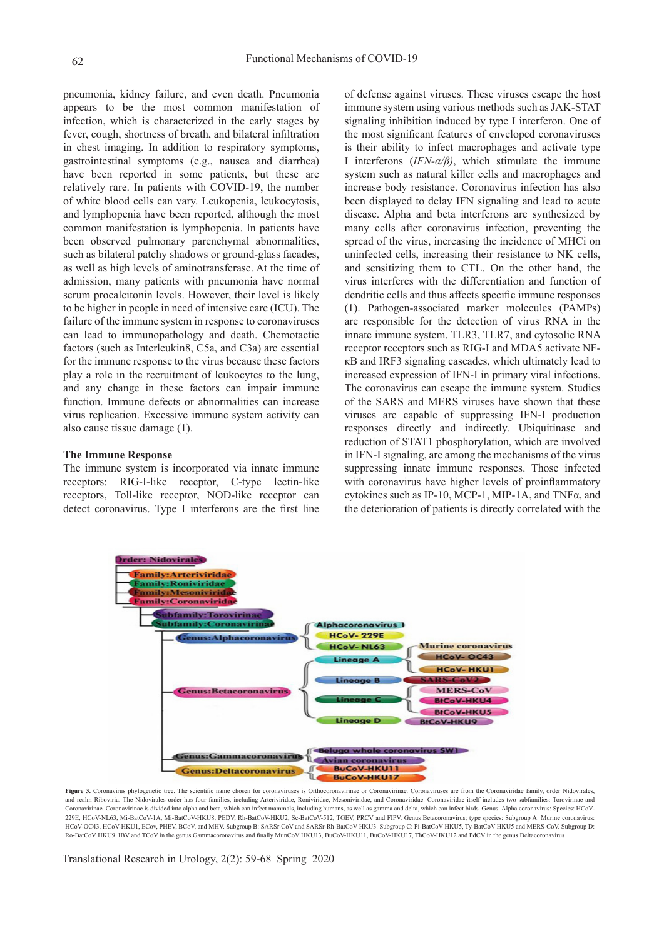pneumonia, kidney failure, and even death. Pneumonia appears to be the most common manifestation of infection, which is characterized in the early stages by fever, cough, shortness of breath, and bilateral infiltration in chest imaging. In addition to respiratory symptoms, gastrointestinal symptoms (e.g., nausea and diarrhea) have been reported in some patients, but these are relatively rare. In patients with COVID-19, the number of white blood cells can vary. Leukopenia, leukocytosis, and lymphopenia have been reported, although the most common manifestation is lymphopenia. In patients have been observed pulmonary parenchymal abnormalities, such as bilateral patchy shadows or ground-glass facades, as well as high levels of aminotransferase. At the time of admission, many patients with pneumonia have normal serum procalcitonin levels. However, their level is likely to be higher in people in need of intensive care (ICU). The failure of the immune system in response to coronaviruses can lead to immunopathology and death. Chemotactic factors (such as Interleukin8, C5a, and C3a) are essential for the immune response to the virus because these factors play a role in the recruitment of leukocytes to the lung, and any change in these factors can impair immune function. Immune defects or abnormalities can increase virus replication. Excessive immune system activity can also cause tissue damage (1).

#### **The Immune Response**

The immune system is incorporated via innate immune receptors: RIG-I-like receptor, C-type lectin-like receptors, Toll-like receptor, NOD-like receptor can detect coronavirus. Type I interferons are the first line of defense against viruses. These viruses escape the host immune system using various methods such as JAK-STAT signaling inhibition induced by type I interferon. One of the most significant features of enveloped coronaviruses is their ability to infect macrophages and activate type I interferons (*IFN-α/β)*, which stimulate the immune system such as natural killer cells and macrophages and increase body resistance. Coronavirus infection has also been displayed to delay IFN signaling and lead to acute disease. Alpha and beta interferons are synthesized by many cells after coronavirus infection, preventing the spread of the virus, increasing the incidence of MHCi on uninfected cells, increasing their resistance to NK cells, and sensitizing them to CTL. On the other hand, the virus interferes with the differentiation and function of dendritic cells and thus affects specific immune responses (1). Pathogen-associated marker molecules (PAMPs) are responsible for the detection of virus RNA in the innate immune system. TLR3, TLR7, and cytosolic RNA receptor receptors such as RIG-I and MDA5 activate NFκB and IRF3 signaling cascades, which ultimately lead to increased expression of IFN-I in primary viral infections. The coronavirus can escape the immune system. Studies of the SARS and MERS viruses have shown that these viruses are capable of suppressing IFN-I production responses directly and indirectly. Ubiquitinase and reduction of STAT1 phosphorylation, which are involved in IFN-I signaling, are among the mechanisms of the virus suppressing innate immune responses. Those infected with coronavirus have higher levels of proinflammatory cytokines such as IP-10, MCP-1, MIP-1A, and TNFα, and the deterioration of patients is directly correlated with the



Figure 3. Coronavirus phylogenetic tree. The scientific name chosen for coronaviruses is Orthocoronavirinae or Coronaviriuse. Coronaviruses are from the Coronaviridae family, order Nidovirales and realm Riboviria. The Nidovirales order has four families, including Arteriviridae, Roniviridae, Mesoniviridae, and Coronaviridae. Coronaviridae itself includes two subfamilies: Torovirinae and Coronavirinae. Coronavirinae is divided into alpha and beta, which can infect mammals, including humans, as well as gamma and delta, which can infect birds. Genus: Alpha coronavirus: Species: HCoV-229E, HCoV-NL63, Mi-BatCoV-1A, Mi-BatCoV-HKU8, PEDV, Rh-BatCoV-HKU2, Sc-BatCoV-512, TGEV, PRCV and FIPV. Genus Betacoronavirus; type species: Subgroup A: Murine coronavirus: HCoV-OC43, HCoV-HKU1, ECov, PHEV, BCoV, and MHV. Subgroup B: SARSr-CoV and SARSr-Rh-BatCoV HKU3. Subgroup C: Pi-BatCoV HKU5, Ty-BatCoV HKU5, and MERS-CoV. Subgroup D: Ro-BatCoV HKU9. IBV and TCoV in the genus Gammacoronavirus and finally MunCoV HKU13, BuCoV-HKU11, BuCoV-HKU17, ThCoV-HKU12 and PdCV in the genus Deltacoronavirus

Translational Research in Urology, 2(2): 59-68 Spring 2020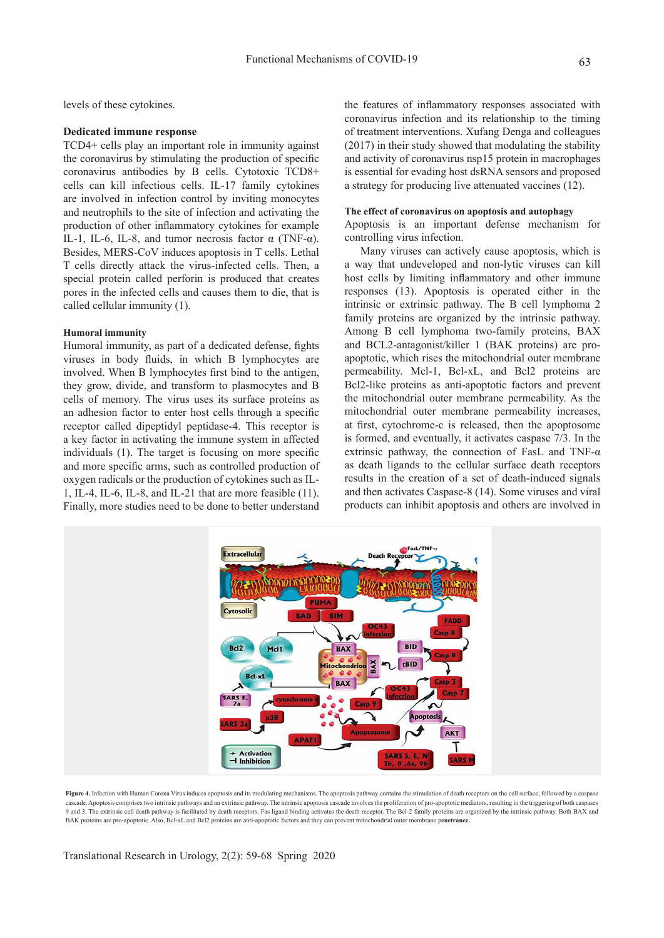levels of these cytokines.

#### **Dedicated immune response**

TCD4+ cells play an important role in immunity against the coronavirus by stimulating the production of specific coronavirus antibodies by B cells. Cytotoxic TCD8+ cells can kill infectious cells. IL-17 family cytokines are involved in infection control by inviting monocytes and neutrophils to the site of infection and activating the production of other inflammatory cytokines for example IL-1, IL-6, IL-8, and tumor necrosis factor  $\alpha$  (TNF- $\alpha$ ). Besides, MERS-CoV induces apoptosis in T cells. Lethal T cells directly attack the virus-infected cells. Then, a special protein called perforin is produced that creates pores in the infected cells and causes them to die, that is called cellular immunity (1).

#### **Humoral immunity**

Humoral immunity, as part of a dedicated defense, fights viruses in body fluids, in which B lymphocytes are involved. When B lymphocytes first bind to the antigen, they grow, divide, and transform to plasmocytes and B cells of memory. The virus uses its surface proteins as an adhesion factor to enter host cells through a specific receptor called dipeptidyl peptidase-4. This receptor is a key factor in activating the immune system in affected individuals (1). The target is focusing on more specific and more specific arms, such as controlled production of oxygen radicals or the production of cytokines such as IL-1, IL-4, IL-6, IL-8, and IL-21 that are more feasible (11). Finally, more studies need to be done to better understand

the features of inflammatory responses associated with coronavirus infection and its relationship to the timing of treatment interventions. Xufang Denga and colleagues (2017) in their study showed that modulating the stability and activity of coronavirus nsp15 protein in macrophages is essential for evading host dsRNA sensors and proposed a strategy for producing live attenuated vaccines (12).

#### **The effect of coronavirus on apoptosis and autophagy**

Apoptosis is an important defense mechanism for controlling virus infection.

Many viruses can actively cause apoptosis, which is a way that undeveloped and non-lytic viruses can kill host cells by limiting inflammatory and other immune responses (13). Apoptosis is operated either in the intrinsic or extrinsic pathway. The B cell lymphoma 2 family proteins are organized by the intrinsic pathway. Among B cell lymphoma two-family proteins, BAX and BCL2-antagonist/killer 1 (BAK proteins) are proapoptotic, which rises the mitochondrial outer membrane permeability. Mcl-1, Bcl-xL, and Bcl2 proteins are Bcl2-like proteins as anti-apoptotic factors and prevent the mitochondrial outer membrane permeability. As the mitochondrial outer membrane permeability increases, at first, cytochrome-c is released, then the apoptosome is formed, and eventually, it activates caspase 7/3. In the extrinsic pathway, the connection of FasL and TNF- $\alpha$ as death ligands to the cellular surface death receptors results in the creation of a set of death-induced signals and then activates Caspase-8 (14). Some viruses and viral products can inhibit apoptosis and others are involved in



Figure 4. Infection with Human Corona Virus induces apoptosis and its modulating mechanisms. The apoptosis pathway contains the stimulation of death receptors on the cell surface, followed by a caspase cascade. Apoptosis comprises two intrinsic pathways and an extrinsic pathway. The intrinsic apoptosis cascade involves the proliferation of pro-apoptotic mediators, resulting in the triggering of both caspases 9 and 3. The extrinsic cell death pathway is facilitated by death receptors. Fas ligand binding activates the death receptor. The Bcl-2 family proteins are organized by the intrinsic pathway. Both BAX and BAK proteins are pro-apoptotic. Also, Bcl-xL and Bcl2 proteins are anti-apoptotic factors and they can prevent mitochondrial outer membrane p**enetrance.**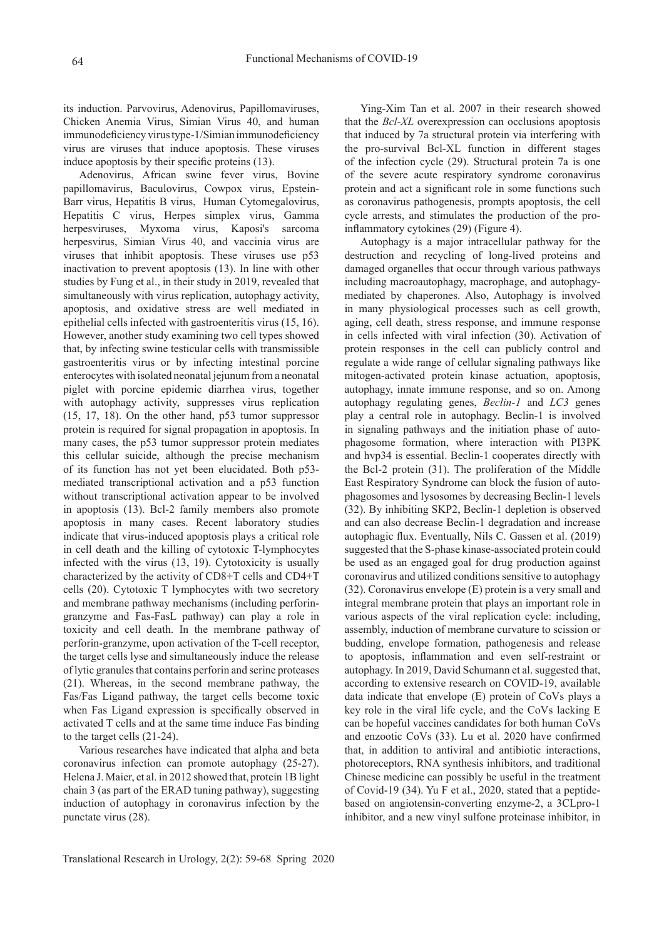its induction. Parvovirus, Adenovirus, Papillomaviruses, Chicken Anemia Virus, Simian Virus 40, and human immunodeficiency virus type-1/Simian immunodeficiency virus are viruses that induce apoptosis. These viruses induce apoptosis by their specific proteins (13).

Adenovirus, African swine fever virus, Bovine papillomavirus, Baculovirus, Cowpox virus, Epstein-Barr virus, Hepatitis B virus, Human Cytomegalovirus, Hepatitis C virus, Herpes simplex virus, Gamma herpesviruses, Myxoma virus, Kaposi's sarcoma herpesvirus, Simian Virus 40, and vaccinia virus are viruses that inhibit apoptosis. These viruses use p53 inactivation to prevent apoptosis (13). In line with other studies by Fung et al., in their study in 2019, revealed that simultaneously with virus replication, autophagy activity, apoptosis, and oxidative stress are well mediated in epithelial cells infected with gastroenteritis virus (15, 16). However, another study examining two cell types showed that, by infecting swine testicular cells with transmissible gastroenteritis virus or by infecting intestinal porcine enterocytes with isolated neonatal jejunum from a neonatal piglet with porcine epidemic diarrhea virus, together with autophagy activity, suppresses virus replication (15, 17, 18). On the other hand, p53 tumor suppressor protein is required for signal propagation in apoptosis. In many cases, the p53 tumor suppressor protein mediates this cellular suicide, although the precise mechanism of its function has not yet been elucidated. Both p53 mediated transcriptional activation and a p53 function without transcriptional activation appear to be involved in apoptosis (13). Bcl-2 family members also promote apoptosis in many cases. Recent laboratory studies indicate that virus-induced apoptosis plays a critical role in cell death and the killing of cytotoxic T-lymphocytes infected with the virus (13, 19). Cytotoxicity is usually characterized by the activity of CD8+T cells and CD4+T cells (20). Cytotoxic T lymphocytes with two secretory and membrane pathway mechanisms (including perforingranzyme and Fas-FasL pathway) can play a role in toxicity and cell death. In the membrane pathway of perforin-granzyme, upon activation of the T-cell receptor, the target cells lyse and simultaneously induce the release of lytic granules that contains perforin and serine proteases (21). Whereas, in the second membrane pathway, the Fas/Fas Ligand pathway, the target cells become toxic when Fas Ligand expression is specifically observed in activated T cells and at the same time induce Fas binding to the target cells (21-24).

Various researches have indicated that alpha and beta coronavirus infection can promote autophagy (25-27). Helena J. Maier, et al. in 2012 showed that, protein 1B light chain 3 (as part of the ERAD tuning pathway), suggesting induction of autophagy in coronavirus infection by the punctate virus (28).

Ying-Xim Tan et al. 2007 in their research showed that the *Bcl-XL* overexpression can occlusions apoptosis that induced by 7a structural protein via interfering with the pro-survival Bcl-XL function in different stages of the infection cycle (29). Structural protein 7a is one of the severe acute respiratory syndrome coronavirus protein and act a significant role in some functions such as coronavirus pathogenesis, prompts apoptosis, the cell cycle arrests, and stimulates the production of the proinflammatory cytokines (29) (Figure 4).

Autophagy is a major intracellular pathway for the destruction and recycling of long-lived proteins and damaged organelles that occur through various pathways including macroautophagy, macrophage, and autophagymediated by chaperones. Also, Autophagy is involved in many physiological processes such as cell growth, aging, cell death, stress response, and immune response in cells infected with viral infection (30). Activation of protein responses in the cell can publicly control and regulate a wide range of cellular signaling pathways like mitogen-activated protein kinase actuation, apoptosis, autophagy, innate immune response, and so on. Among autophagy regulating genes, *Beclin-1* and *LC3* genes play a central role in autophagy. Beclin-1 is involved in signaling pathways and the initiation phase of autophagosome formation, where interaction with PI3PK and hvp34 is essential. Beclin-1 cooperates directly with the Bcl-2 protein (31). The proliferation of the Middle East Respiratory Syndrome can block the fusion of autophagosomes and lysosomes by decreasing Beclin-1 levels (32). By inhibiting SKP2, Beclin-1 depletion is observed and can also decrease Beclin-1 degradation and increase autophagic flux. Eventually, Nils C. Gassen et al. (2019) suggested that the S-phase kinase-associated protein could be used as an engaged goal for drug production against coronavirus and utilized conditions sensitive to autophagy (32). Coronavirus envelope (E) protein is a very small and integral membrane protein that plays an important role in various aspects of the viral replication cycle: including, assembly, induction of membrane curvature to scission or budding, envelope formation, pathogenesis and release to apoptosis, inflammation and even self-restraint or autophagy. In 2019, David Schumann et al. suggested that, according to extensive research on COVID-19, available data indicate that envelope (E) protein of CoVs plays a key role in the viral life cycle, and the CoVs lacking E can be hopeful vaccines candidates for both human CoVs and enzootic CoVs (33). Lu et al. 2020 have confirmed that, in addition to antiviral and antibiotic interactions, photoreceptors, RNA synthesis inhibitors, and traditional Chinese medicine can possibly be useful in the treatment of Covid-19 (34). Yu F et al., 2020, stated that a peptidebased on angiotensin-converting enzyme-2, a 3CLpro-1 inhibitor, and a new vinyl sulfone proteinase inhibitor, in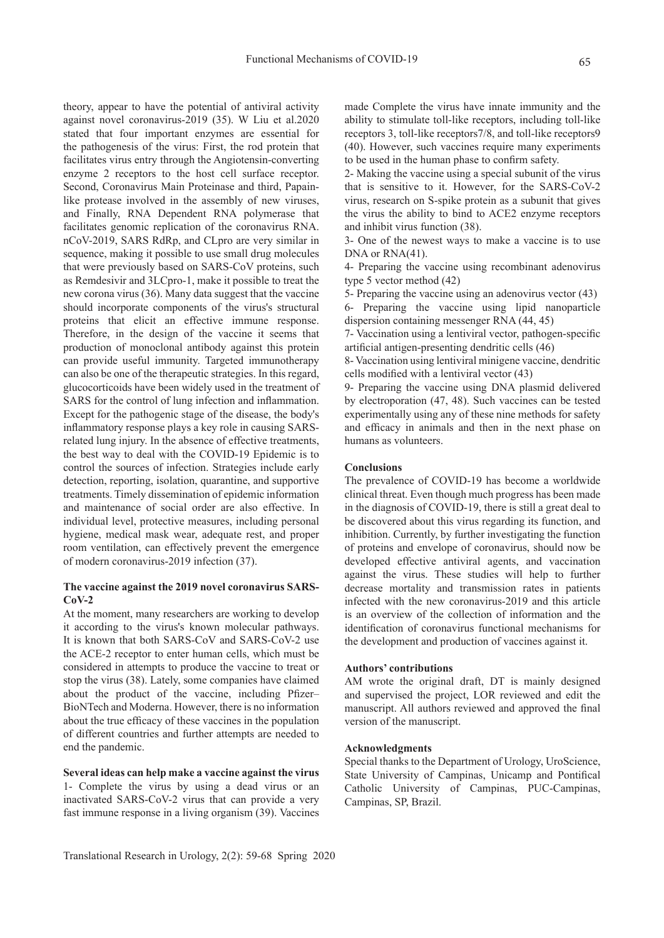theory, appear to have the potential of antiviral activity against novel coronavirus-2019 (35). W Liu et al.2020 stated that four important enzymes are essential for the pathogenesis of the virus: First, the rod protein that facilitates virus entry through the Angiotensin-converting enzyme 2 receptors to the host cell surface receptor. Second, Coronavirus Main Proteinase and third, Papainlike protease involved in the assembly of new viruses, and Finally, RNA Dependent RNA polymerase that facilitates genomic replication of the coronavirus RNA. nCoV-2019, SARS RdRp, and CLpro are very similar in sequence, making it possible to use small drug molecules that were previously based on SARS-CoV proteins, such as Remdesivir and 3LCpro-1, make it possible to treat the new corona virus (36). Many data suggest that the vaccine should incorporate components of the virus's structural proteins that elicit an effective immune response. Therefore, in the design of the vaccine it seems that production of monoclonal antibody against this protein can provide useful immunity. Targeted immunotherapy can also be one of the therapeutic strategies. In this regard, glucocorticoids have been widely used in the treatment of SARS for the control of lung infection and inflammation. Except for the pathogenic stage of the disease, the body's inflammatory response plays a key role in causing SARSrelated lung injury. In the absence of effective treatments, the best way to deal with the COVID-19 Epidemic is to control the sources of infection. Strategies include early detection, reporting, isolation, quarantine, and supportive treatments. Timely dissemination of epidemic information and maintenance of social order are also effective. In individual level, protective measures, including personal hygiene, medical mask wear, adequate rest, and proper room ventilation, can effectively prevent the emergence of modern coronavirus-2019 infection (37).

# **The vaccine against the 2019 novel coronavirus SARS-CoV-2**

At the moment, many researchers are working to develop it according to the virus's known molecular pathways. It is known that both SARS-CoV and SARS-CoV-2 use the ACE-2 receptor to enter human cells, which must be considered in attempts to produce the vaccine to treat or stop the virus (38). Lately, some companies have claimed about the product of the vaccine, including Pfizer– BioNTech and Moderna. However, there is no information about the true efficacy of these vaccines in the population of different countries and further attempts are needed to end the pandemic.

# **Several ideas can help make a vaccine against the virus**

1- Complete the virus by using a dead virus or an inactivated SARS-CoV-2 virus that can provide a very fast immune response in a living organism (39). Vaccines

made Complete the virus have innate immunity and the ability to stimulate toll-like receptors, including toll-like receptors 3, toll-like receptors7/8, and toll-like receptors9 (40). However, such vaccines require many experiments to be used in the human phase to confirm safety.

2- Making the vaccine using a special subunit of the virus that is sensitive to it. However, for the SARS-CoV-2 virus, research on S-spike protein as a subunit that gives the virus the ability to bind to ACE2 enzyme receptors and inhibit virus function (38).

3- One of the newest ways to make a vaccine is to use DNA or RNA(41).

4- Preparing the vaccine using recombinant adenovirus type 5 vector method (42)

5- Preparing the vaccine using an adenovirus vector (43) 6- Preparing the vaccine using lipid nanoparticle dispersion containing messenger RNA (44, 45)

7- Vaccination using a lentiviral vector, pathogen-specific artificial antigen-presenting dendritic cells (46)

8- Vaccination using lentiviral minigene vaccine, dendritic cells modified with a lentiviral vector (43)

9- Preparing the vaccine using DNA plasmid delivered by electroporation (47, 48). Such vaccines can be tested experimentally using any of these nine methods for safety and efficacy in animals and then in the next phase on humans as volunteers.

# **Conclusions**

The prevalence of COVID-19 has become a worldwide clinical threat. Even though much progress has been made in the diagnosis of COVID-19, there is still a great deal to be discovered about this virus regarding its function, and inhibition. Currently, by further investigating the function of proteins and envelope of coronavirus, should now be developed effective antiviral agents, and vaccination against the virus. These studies will help to further decrease mortality and transmission rates in patients infected with the new coronavirus-2019 and this article is an overview of the collection of information and the identification of coronavirus functional mechanisms for the development and production of vaccines against it.

#### **Authors' contributions**

AM wrote the original draft, DT is mainly designed and supervised the project, LOR reviewed and edit the manuscript. All authors reviewed and approved the final version of the manuscript.

### **Acknowledgments**

Special thanks to the Department of Urology, UroScience, State University of Campinas, Unicamp and Pontifical Catholic University of Campinas, PUC-Campinas, Campinas, SP, Brazil.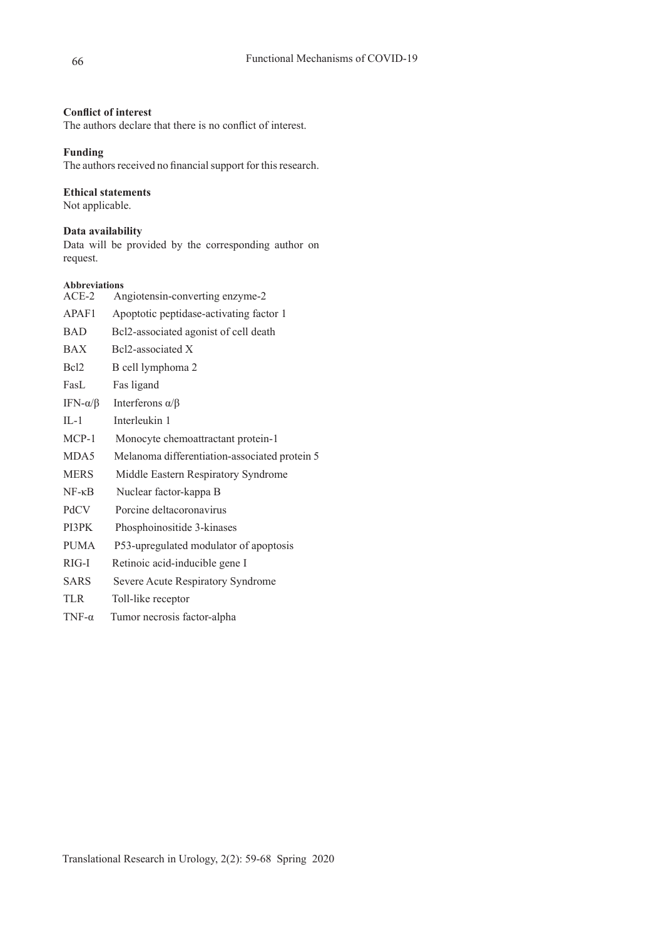# **Conflict of interest**

The authors declare that there is no conflict of interest.

# **Funding**

The authors received no financial support for this research.

# **Ethical statements**

Not applicable.

# **Data availability**

Data will be provided by the corresponding author on request.

# **Abbreviations**

| $ACE-2$             | Angiotensin-converting enzyme-2               |
|---------------------|-----------------------------------------------|
| APAF1               | Apoptotic peptidase-activating factor 1       |
| <b>BAD</b>          | Bcl2-associated agonist of cell death         |
| <b>BAX</b>          | Bcl2-associated X                             |
| Bcl <sub>2</sub>    | B cell lymphoma 2                             |
| FasL                | Fas ligand                                    |
| IFN- $\alpha/\beta$ | Interferons $\alpha/\beta$                    |
| $IL-1$              | Interleukin 1                                 |
| MCP-1               | Monocyte chemoattractant protein-1            |
| MDA5                | Melanoma differentiation-associated protein 5 |
| <b>MERS</b>         | Middle Eastern Respiratory Syndrome           |
| $NF - \kappa B$     | Nuclear factor-kappa B                        |
| PdCV                | Porcine deltacoronavirus                      |
| PI3PK               | Phosphoinositide 3-kinases                    |
| <b>PUMA</b>         | P53-upregulated modulator of apoptosis        |
| RIG-I               | Retinoic acid-inducible gene I                |
| <b>SARS</b>         | Severe Acute Respiratory Syndrome             |
| <b>TLR</b>          | Toll-like receptor                            |
| TNF- $\alpha$       | Tumor necrosis factor-alpha                   |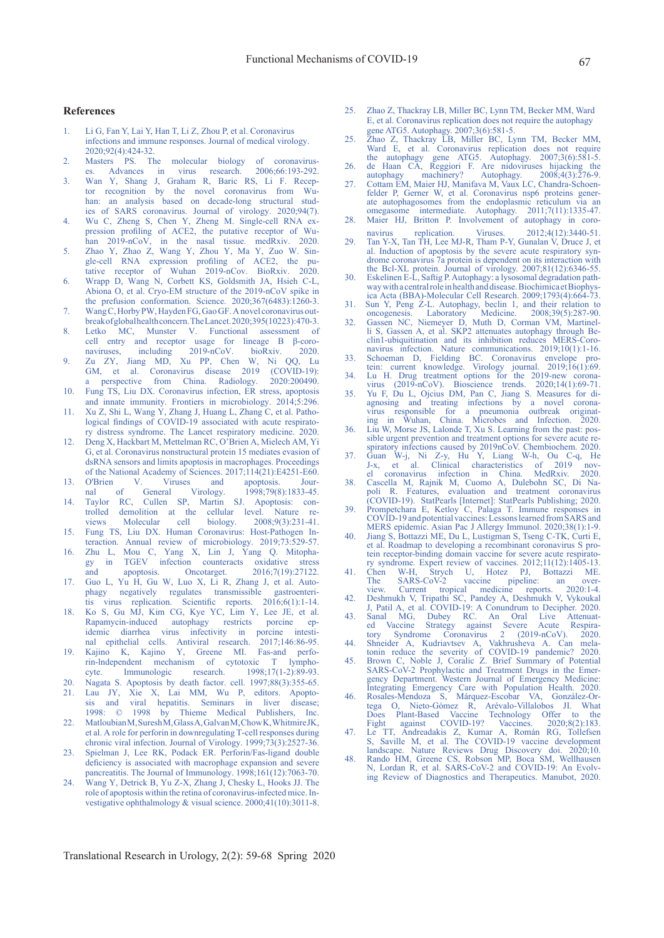#### **References**

- 1. Li G, Fan Y, Lai Y, Han T, Li Z, Zhou P, et al. Coronavirus infections and immune responses. Journal of medical virology. 2020;92(4):424-32.
- 2. Masters PS. The molecular biology of coronaviruses. Advances in virus research. 2006;66:193-292.
- 3. Wan Y, Shang J, Graham R, Baric RS, Li F. Receptor recognition by the novel coronavirus from Wuhan: an analysis based on decade-long structural studies of SARS coronavirus. Journal of virology. 2020;94(7).
- 4. Wu C, Zheng S, Chen Y, Zheng M. Single-cell RNA expression profiling of ACE2, the putative receptor of Wuhan 2019-nCoV, in the nasal tissue. medRxiv. 2020.
- 5. Zhao Y, Zhao Z, Wang Y, Zhou Y, Ma Y, Zuo W. Single-cell RNA expression profiling of ACE2, the putative receptor of Wuhan 2019-nCov. BioRxiv. 2020.
- 6. Wrapp D, Wang N, Corbett KS, Goldsmith JA, Hsieh C-L, Abiona O, et al. Cryo-EM structure of the 2019-nCoV spike in the prefusion conformation. Science. 2020;367(6483):1260-3.
- 7. Wang C, Horby PW, Hayden FG, Gao GF. A novel coronavirus outbreak of global health concern. The Lancet. 2020;395(10223):470-3.
- 8. Letko MC, Munster V. Functional assessment of cell entry and receptor usage for lineage B  $\beta$ -coro-<br>naviruses. including 2019-nCoV. bioRxiv. 2020. naviruses, including 2019-nCoV. bioRxiv. 2020.
- 9. Zu ZY, Jiang MD, Xu PP, Chen W, Ni QQ, Lu GM, et al. Coronavirus disease 2019 (COVID-19): a perspective from China. Radiology. 2020:200490. 10. Fung TS, Liu DX. Coronavirus infection, ER stress, apoptosis
- and innate immunity. Frontiers in microbiology. 2014;5:296.
- 11. Xu Z, Shi L, Wang Y, Zhang J, Huang L, Zhang C, et al. Pathological findings of COVID-19 associated with acute respiratory distress syndrome. The Lancet respiratory medicine. 2020. 12. Deng X, Hackbart M, Mettelman RC, O'Brien A, Mielech AM, Yi
- G, et al. Coronavirus nonstructural protein 15 mediates evasion of dsRNA sensors and limits apoptosis in macrophages. Proceedings of the National Academy of Sciences.  $2017;114(21):E4251-E60.$ <br>O'Brien V. Viruses and apoptosis. Jour-
- 13. O'Brien V. Viruses and apoptosis. Journal of General Virology. 1998;79(8):1833-45. 14. Taylor RC, Cullen SP, Martin SJ. Apoptosis: con-
- trolled demolition at the cellular level. Nature reviews Molecular cell biology. 2008;9(3):231-41. 15. Fung TS, Liu DX. Human Coronavirus: Host-Pathogen In-
- teraction. Annual review of microbiology. 2019;73:529-57.
- 16. Zhu L, Mou C, Yang X, Lin J, Yang Q. Mitophagy in TGEV infection counteracts oxidative stress and apoptosis. Oncotarget. 2016;7(19):27122.
- 17. Guo L, Yu H, Gu W, Luo X, Li R, Zhang J, et al. Auto-<br>phagy negatively regulates transmissible gastroenterinegatively regulates transmissible gastroenteritis virus replication. Scientific reports. 2016;6(1):1-14.
- 18. Ko S, Gu MJ, Kim CG, Kye YC, Lim Y, Lee JE, et al. Rapamycin-induced autophagy restricts porcine epidemic diarrhea virus infectivity in porcine intestinal epithelial cells. Antiviral research. 2017;146:86-95.
- 19. Kajino K, Kajino Y, Greene MI. Fas-and perforin-lndependent mechanism of cytotoxic T lymphocyte. Immunologic research. 1998;17(1-2):89-93.
- 20. Nagata S. Apoptosis by death factor. cell. 1997;88(3):355-65. 21. Lau JY, Xie X, Lai MM, Wu P, editors. Apoptosis and viral hepatitis. Seminars in liver disease; 1998: © 1998 by Thieme Medical Publishers, Inc.
- 22. Matloubian M, Suresh M, Glass A, Galvan M, Chow K, Whitmire JK, et al. A role for perforin in downregulating T-cell responses during chronic viral infection. Journal of Virology. 1999;73(3):2527-36.
- 23. Spielman J, Lee RK, Podack ER. Perforin/Fas-ligand double deficiency is associated with macrophage expansion and severe pancreatitis. The Journal of Immunology. 1998;161(12):7063-70.
- 24. Wang Y, Detrick B, Yu Z-X, Zhang J, Chesky L, Hooks JJ. The role of apoptosis within the retina of coronavirus-infected mice. Investigative ophthalmology & visual science. 2000;41(10):3011-8.
- 25. Zhao Z, Thackray LB, Miller BC, Lynn TM, Becker MM, Ward E, et al. Coronavirus replication does not require the autophagy gene ATG5. Autophagy. 2007;3(6):581-5.
- 25. Zhao Z, Thackray LB, Miller BC, Lynn TM, Becker MM, Ward E, et al. Coronavirus replication does not require the autophagy gene ATG5. Autophagy. 2007;3(6):581-5.
- 26. de Haan CA, Reggiori F. Are nidoviruses hijacking the autophagy machinery? Autophagy. 2008;4(3):276-9. 27. Cottam EM, Maier HJ, Manifava M, Vaux LC, Chandra-Schoen-
- felder P, Gerner W, et al. Coronavirus nsp6 proteins generate autophagosomes from the endoplasmic reticulum via an omegasome intermediate. Autophagy. 2011;7(11):1335-47. 28. Maier HJ, Britton P. Involvement of autophagy in coro-
- navirus replication. Viruses. 2012;4(12):3440-51.
- 29. Tan Y-X, Tan TH, Lee MJ-R, Tham P-Y, Gunalan V, Druce J, et al. Induction of apoptosis by the severe acute respiratory syndrome coronavirus 7a protein is dependent on its interaction with the Bcl-XL protein. Journal of virology. 2007;81(12):6346-55.
- 30. Eskelinen E-L, Saftig P. Autophagy: a lysosomal degradation pathway with a central role in health and disease. Biochimica et Biophysica Acta (BBA)-Molecular Cell Research. 2009;1793(4):664-73.
- 31. Sun Y, Peng Z-L. Autophagy, beclin 1, and their relation to oncogenesis. Laboratory Medicine. 2008;39(5):287-90.
- 32. Gassen NC, Niemeyer D, Muth D, Corman VM, Martinelli S, Gassen A, et al. SKP2 attenuates autophagy through Beclin1-ubiquitination and its inhibition reduces MERS-Coronavirus infection. Nature communications. 2019;10(1):1-16.
- 33. Schoeman D, Fielding BC. Coronavirus envelope protein: current knowledge. Virology journal. 2019;16(1):69. 34. Lu H. Drug treatment options for the 2019-new corona-
- virus (2019-nCoV). Bioscience trends. 2020;14(1):69-71. 35. Yu F, Du L, Ojcius DM, Pan C, Jiang S. Measures for diagnosing and treating infections by a novel corona-
- virus responsible for a pneumonia outbreak originating in Wuhan, China. Microbes and Infection. 2020. 36. Liu W, Morse JS, Lalonde T, Xu S. Learning from the past: possible urgent prevention and treatment options for severe acute re-
- spiratory infections caused by 2019nCoV. Chembiochem. 2020. 37. Guan W-j, Ni Z-y, Hu Y, Liang W-h, Ou C-q, He J-x, et al. Clinical characteristics of 2019 nov-
- el coronavirus infection in China. MedRxiv. 2020. 38. Cascella M, Rajnik M, Cuomo A, Dulebohn SC, Di Napoli R. Features, evaluation and treatment coronavirus (COVID-19). StatPearls [Internet]: StatPearls Publishing; 2020.
- 39. Prompetchara E, Ketloy C, Palaga T. Immune responses in COVID-19 and potential vaccines: Lessons learned from SARS and MERS epidemic. Asian Pac J Allergy Immunol. 2020;38(1):1-9.
- 40. Jiang S, Bottazzi ME, Du L, Lustigman S, Tseng C-TK, Curti E, et al. Roadmap to developing a recombinant coronavirus S protein receptor-binding domain vaccine for severe acute respiratory syndrome. Expert review of vaccines. 2012;11(12):1405-13.
- 41. Chen W-H, Strych U, Hotez PJ, Bottazzi ME. The SARS-CoV-2 vaccine pipeline: an overview. Current tropical medicine reports. 2020:1-4.
- 42. Deshmukh V, Tripathi SC, Pandey A, Deshmukh V, Vykoukal J, Patil A, et al. COVID-19: A Conundrum to Decipher. 2020.
- 43. Sanal MG, Dubey RC. An Oral Live Attenuated Vaccine Strategy against Severe Acute Respiratory Syndrome Coronavirus 2 (2019-nCoV). 2020.
- 44. Shneider A, Kudriavtsev A, Vakhrusheva A. Can mela-tonin reduce the severity of COVID-19 pandemic? 2020. 45. Brown C, Noble J, Coralic Z. Brief Summary of Potential
- SARS-CoV-2 Prophylactic and Treatment Drugs in the Emergency Department. Western Journal of Emergency Medicine: Integrating Emergency Care with Population Health. 2020.
- 46. Rosales-Mendoza S, Márquez-Escobar VA, González-Ortega O, Nieto-Gómez R, Arévalo-Villalobos JI. What Does Plant-Based Vaccine Technology Offer to the Fight against COVID-19? Vaccines. 2020;8(2):183.
- 47. Le TT, Andreadakis Z, Kumar A, Román RG, Tollefsen S, Saville M, et al. The COVID-19 vaccine development landscape. Nature Reviews Drug Discovery doi. 2020;10.
- 48. Rando HM, Greene CS, Robson MP, Boca SM, Wellhausen N, Lordan R, et al. SARS-CoV-2 and COVID-19: An Evolving Review of Diagnostics and Therapeutics. Manubot, 2020.